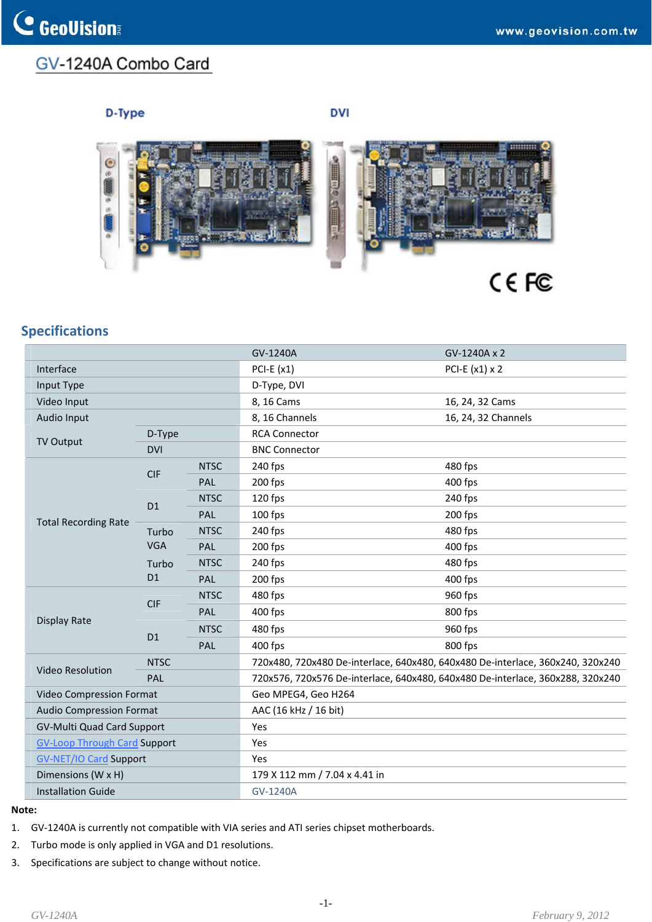## GV-1240A Combo Card

## D-Type

**DVI** 



## **Specifications**

|                                                 |                                     |                         |             | GV-1240A                                                                       | GV-1240A x 2        |
|-------------------------------------------------|-------------------------------------|-------------------------|-------------|--------------------------------------------------------------------------------|---------------------|
|                                                 | Interface                           |                         |             | PCI-E $(x1)$                                                                   | PCI-E $(x1)$ x 2    |
|                                                 | Input Type                          |                         |             | D-Type, DVI                                                                    |                     |
| Video Input                                     |                                     |                         |             | 8, 16 Cams                                                                     | 16, 24, 32 Cams     |
|                                                 | Audio Input                         |                         |             | 8, 16 Channels                                                                 | 16, 24, 32 Channels |
|                                                 | <b>TV Output</b>                    | D-Type                  |             | <b>RCA Connector</b>                                                           |                     |
|                                                 |                                     | <b>DVI</b>              |             | <b>BNC Connector</b>                                                           |                     |
|                                                 | <b>Total Recording Rate</b>         | <b>CIF</b>              | <b>NTSC</b> | 240 fps                                                                        | 480 fps             |
|                                                 |                                     |                         | <b>PAL</b>  | 200 fps                                                                        | 400 fps             |
|                                                 |                                     | D <sub>1</sub>          | <b>NTSC</b> | 120 fps                                                                        | 240 fps             |
|                                                 |                                     |                         | PAL         | 100 fps                                                                        | 200 fps             |
|                                                 |                                     | Turbo<br><b>VGA</b>     | <b>NTSC</b> | 240 fps                                                                        | 480 fps             |
|                                                 |                                     |                         | PAL         | 200 fps                                                                        | 400 fps             |
|                                                 |                                     | Turbo<br>D <sub>1</sub> | <b>NTSC</b> | 240 fps                                                                        | 480 fps             |
|                                                 |                                     |                         | PAL         | 200 fps                                                                        | 400 fps             |
|                                                 | <b>Display Rate</b>                 | <b>CIF</b>              | <b>NTSC</b> | 480 fps                                                                        | 960 fps             |
|                                                 |                                     |                         | PAL         | 400 fps                                                                        | 800 fps             |
|                                                 |                                     | D <sub>1</sub>          | <b>NTSC</b> | 480 fps                                                                        | 960 fps             |
|                                                 |                                     |                         | PAL         | 400 fps                                                                        | 800 fps             |
|                                                 |                                     | <b>NTSC</b>             |             | 720x480, 720x480 De-interlace, 640x480, 640x480 De-interlace, 360x240, 320x240 |                     |
|                                                 | <b>Video Resolution</b>             | PAL                     |             | 720x576, 720x576 De-interlace, 640x480, 640x480 De-interlace, 360x288, 320x240 |                     |
|                                                 | Video Compression Format            |                         |             | Geo MPEG4, Geo H264                                                            |                     |
|                                                 | <b>Audio Compression Format</b>     |                         |             | AAC (16 kHz / 16 bit)                                                          |                     |
|                                                 | <b>GV-Multi Quad Card Support</b>   |                         |             | Yes                                                                            |                     |
|                                                 | <b>GV-Loop Through Card Support</b> |                         |             | Yes                                                                            |                     |
|                                                 | <b>GV-NET/IO Card Support</b>       |                         |             | Yes                                                                            |                     |
| Dimensions (W x H)<br><b>Installation Guide</b> |                                     |                         |             | 179 X 112 mm / 7.04 x 4.41 in                                                  |                     |
|                                                 |                                     |                         |             | GV-1240A                                                                       |                     |
|                                                 |                                     |                         |             |                                                                                |                     |

## **Note:**

- 1. GV-1240A is currently not compatible with VIA series and ATI series chipset motherboards.
- 2. Turbo mode is only applied in VGA and D1 resolutions.
- 3. Specifications are subject to change without notice.